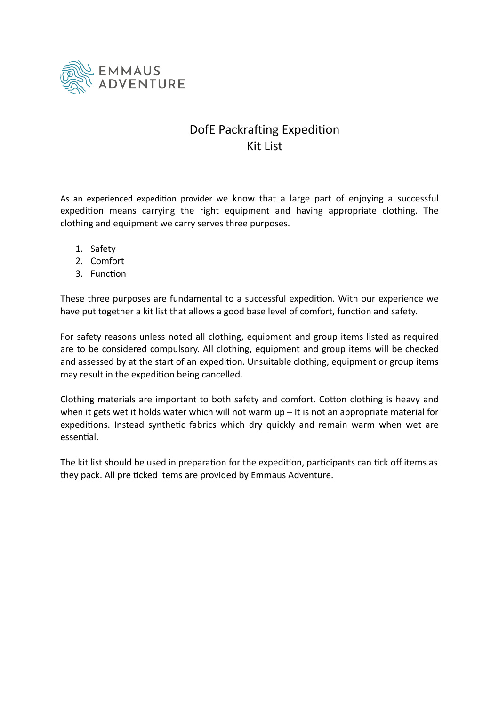

## DofE Packrafting Expedition Kit List

As an experienced expedition provider we know that a large part of enjoying a successful expedition means carrying the right equipment and having appropriate clothing. The clothing and equipment we carry serves three purposes.

- 1. Safety
- 2. Comfort
- 3. Function

These three purposes are fundamental to a successful expedition. With our experience we have put together a kit list that allows a good base level of comfort, function and safety.

For safety reasons unless noted all clothing, equipment and group items listed as required are to be considered compulsory. All clothing, equipment and group items will be checked and assessed by at the start of an expedition. Unsuitable clothing, equipment or group items may result in the expedition being cancelled.

Clothing materials are important to both safety and comfort. Cotton clothing is heavy and when it gets wet it holds water which will not warm up - It is not an appropriate material for expeditions. Instead synthetic fabrics which dry quickly and remain warm when wet are essential.

The kit list should be used in preparation for the expedition, participants can tick off items as they pack. All pre ticked items are provided by Emmaus Adventure.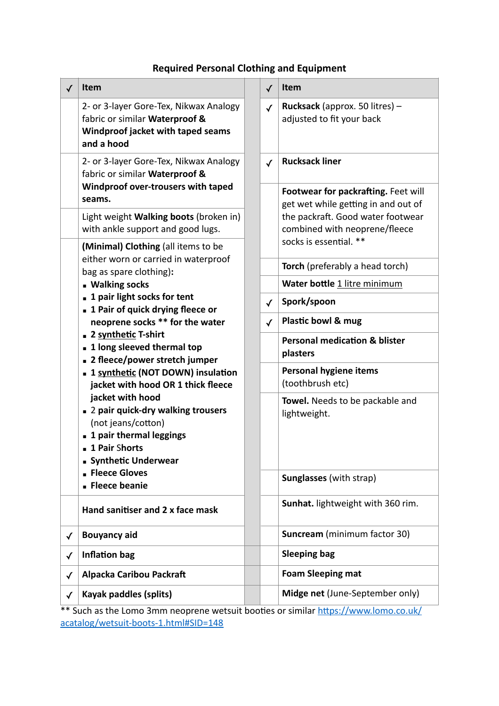## **Required Personal Clothing and Equipment**

| ✓            | <b>Item</b>                                                                                                                                                                                                                                                                                                                                                                                                                                                                                                                                                                                                                                                                                                                                                                                                                           |              | √            | <b>Item</b>                                                                                  |
|--------------|---------------------------------------------------------------------------------------------------------------------------------------------------------------------------------------------------------------------------------------------------------------------------------------------------------------------------------------------------------------------------------------------------------------------------------------------------------------------------------------------------------------------------------------------------------------------------------------------------------------------------------------------------------------------------------------------------------------------------------------------------------------------------------------------------------------------------------------|--------------|--------------|----------------------------------------------------------------------------------------------|
|              | 2- or 3-layer Gore-Tex, Nikwax Analogy<br>fabric or similar Waterproof &<br>Windproof jacket with taped seams<br>and a hood                                                                                                                                                                                                                                                                                                                                                                                                                                                                                                                                                                                                                                                                                                           |              | $\checkmark$ | Rucksack (approx. 50 litres) -<br>adjusted to fit your back                                  |
|              | 2- or 3-layer Gore-Tex, Nikwax Analogy<br>fabric or similar Waterproof &<br>Windproof over-trousers with taped<br>seams.<br>Light weight Walking boots (broken in)<br>with ankle support and good lugs.<br>(Minimal) Clothing (all items to be<br>either worn or carried in waterproof<br>bag as spare clothing):<br><b>Walking socks</b><br>■ 1 pair light socks for tent<br>■ 1 Pair of quick drying fleece or<br>neoprene socks ** for the water<br>■ 2 synthetic T-shirt<br>1 long sleeved thermal top<br>■ 2 fleece/power stretch jumper<br><b>1</b> Synthetic (NOT DOWN) insulation<br>jacket with hood OR 1 thick fleece<br>jacket with hood<br>■ 2 pair quick-dry walking trousers<br>(not jeans/cotton)<br>1 pair thermal leggings<br>1 Pair Shorts<br>■ Synthetic Underwear<br><b>Fleece Gloves</b><br><b>Fleece beanie</b> |              | $\checkmark$ | <b>Rucksack liner</b>                                                                        |
|              |                                                                                                                                                                                                                                                                                                                                                                                                                                                                                                                                                                                                                                                                                                                                                                                                                                       |              |              | Footwear for packrafting. Feet will<br>get wet while getting in and out of                   |
|              |                                                                                                                                                                                                                                                                                                                                                                                                                                                                                                                                                                                                                                                                                                                                                                                                                                       |              |              | the packraft. Good water footwear<br>combined with neoprene/fleece<br>socks is essential. ** |
|              |                                                                                                                                                                                                                                                                                                                                                                                                                                                                                                                                                                                                                                                                                                                                                                                                                                       |              |              |                                                                                              |
|              |                                                                                                                                                                                                                                                                                                                                                                                                                                                                                                                                                                                                                                                                                                                                                                                                                                       |              |              | Torch (preferably a head torch)                                                              |
|              |                                                                                                                                                                                                                                                                                                                                                                                                                                                                                                                                                                                                                                                                                                                                                                                                                                       |              |              | Water bottle 1 litre minimum                                                                 |
|              |                                                                                                                                                                                                                                                                                                                                                                                                                                                                                                                                                                                                                                                                                                                                                                                                                                       |              | $\checkmark$ | Spork/spoon                                                                                  |
|              |                                                                                                                                                                                                                                                                                                                                                                                                                                                                                                                                                                                                                                                                                                                                                                                                                                       |              | $\checkmark$ | Plastic bowl & mug                                                                           |
|              |                                                                                                                                                                                                                                                                                                                                                                                                                                                                                                                                                                                                                                                                                                                                                                                                                                       |              |              | <b>Personal medication &amp; blister</b><br>plasters                                         |
|              |                                                                                                                                                                                                                                                                                                                                                                                                                                                                                                                                                                                                                                                                                                                                                                                                                                       |              |              | <b>Personal hygiene items</b><br>(toothbrush etc)                                            |
|              |                                                                                                                                                                                                                                                                                                                                                                                                                                                                                                                                                                                                                                                                                                                                                                                                                                       |              |              | Towel. Needs to be packable and<br>lightweight.                                              |
|              |                                                                                                                                                                                                                                                                                                                                                                                                                                                                                                                                                                                                                                                                                                                                                                                                                                       |              |              | <b>Sunglasses (with strap)</b>                                                               |
|              | Hand sanitiser and 2 x face mask                                                                                                                                                                                                                                                                                                                                                                                                                                                                                                                                                                                                                                                                                                                                                                                                      |              |              | Sunhat. lightweight with 360 rim.                                                            |
| ✓            | <b>Bouyancy aid</b>                                                                                                                                                                                                                                                                                                                                                                                                                                                                                                                                                                                                                                                                                                                                                                                                                   |              |              | <b>Suncream</b> (minimum factor 30)                                                          |
| $\checkmark$ | <b>Inflation bag</b>                                                                                                                                                                                                                                                                                                                                                                                                                                                                                                                                                                                                                                                                                                                                                                                                                  |              |              | <b>Sleeping bag</b>                                                                          |
|              | <b>Alpacka Caribou Packraft</b>                                                                                                                                                                                                                                                                                                                                                                                                                                                                                                                                                                                                                                                                                                                                                                                                       |              |              | <b>Foam Sleeping mat</b>                                                                     |
|              |                                                                                                                                                                                                                                                                                                                                                                                                                                                                                                                                                                                                                                                                                                                                                                                                                                       |              |              |                                                                                              |
|              |                                                                                                                                                                                                                                                                                                                                                                                                                                                                                                                                                                                                                                                                                                                                                                                                                                       | $\checkmark$ |              |                                                                                              |

\*\* Such as the Lomo 3mm neoprene wetsuit booties or similar https://www.lomo.co.uk/ [acatalog/wetsuit-boots-1.html#SID=148](https://www.lomo.co.uk/acatalog/wetsuit-boots-1.html#SID=148)